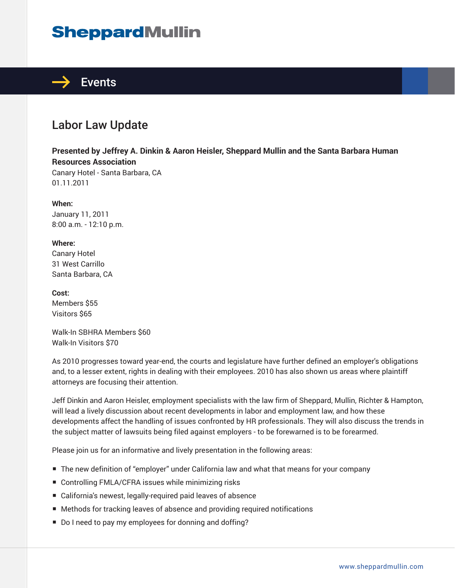# **SheppardMullin**



### Labor Law Update

**Presented by Jeffrey A. Dinkin & Aaron Heisler, Sheppard Mullin and the Santa Barbara Human Resources Association**

Canary Hotel - Santa Barbara, CA 01.11.2011

**When:** January 11, 2011 8:00 a.m. - 12:10 p.m.

**Where:** Canary Hotel 31 West Carrillo Santa Barbara, CA

**Cost:** Members \$55 Visitors \$65

Walk-In SBHRA Members \$60 Walk-In Visitors \$70

As 2010 progresses toward year-end, the courts and legislature have further defined an employer's obligations and, to a lesser extent, rights in dealing with their employees. 2010 has also shown us areas where plaintiff attorneys are focusing their attention.

Jeff Dinkin and Aaron Heisler, employment specialists with the law firm of Sheppard, Mullin, Richter & Hampton, will lead a lively discussion about recent developments in labor and employment law, and how these developments affect the handling of issues confronted by HR professionals. They will also discuss the trends in the subject matter of lawsuits being filed against employers - to be forewarned is to be forearmed.

Please join us for an informative and lively presentation in the following areas:

- The new definition of "employer" under California law and what that means for your company
- Controlling FMLA/CFRA issues while minimizing risks
- California's newest, legally-required paid leaves of absence
- Methods for tracking leaves of absence and providing required notifications
- Do I need to pay my employees for donning and doffing?